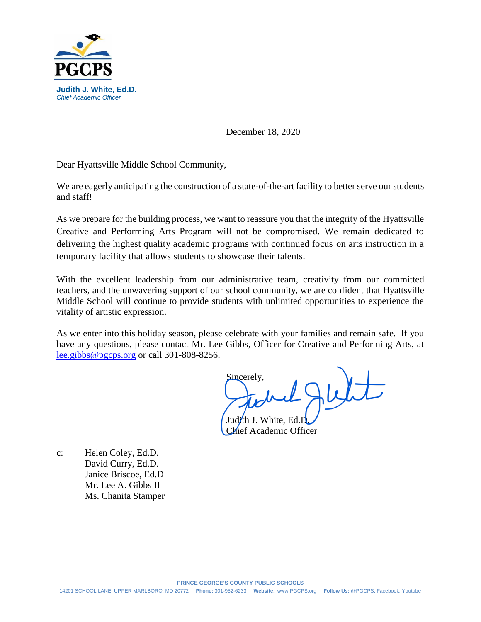

December 18, 2020

Dear Hyattsville Middle School Community,

We are eagerly anticipating the construction of a state-of-the-art facility to better serve our students and staff!

As we prepare for the building process, we want to reassure you that the integrity of the Hyattsville Creative and Performing Arts Program will not be compromised. We remain dedicated to delivering the highest quality academic programs with continued focus on arts instruction in a temporary facility that allows students to showcase their talents.

With the excellent leadership from our administrative team, creativity from our committed teachers, and the unwavering support of our school community, we are confident that Hyattsville Middle School will continue to provide students with unlimited opportunities to experience the vitality of artistic expression.

As we enter into this holiday season, please celebrate with your families and remain safe. If you have any questions, please contact Mr. Lee Gibbs, Officer for Creative and Performing Arts, at [lee.gibbs@pgcps.org](mailto:lee.gibbs@pgcps.org) or call 301-808-8256.

Sincerely, Judi<sup>t</sup>th J. White, E

Chief Academic Officer

c: Helen Coley, Ed.D. David Curry, Ed.D. Janice Briscoe, Ed.D Mr. Lee A. Gibbs II Ms. Chanita Stamper